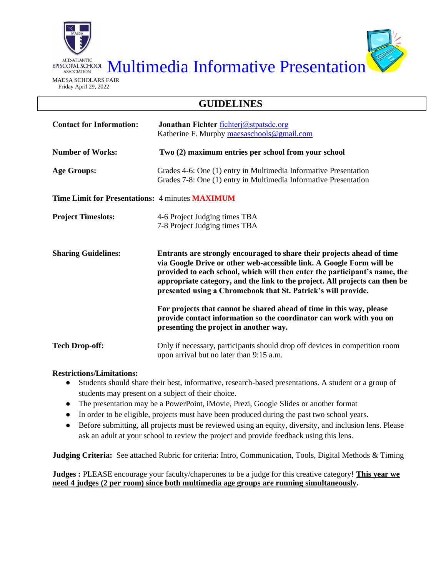

EPISCOPAL SCHOOL Multimedia Informative Presentation

## **GUIDELINES**

| <b>Contact for Information:</b>                        | Jonathan Fichter fichterj@stpatsdc.org<br>Katherine F. Murphy maesaschools@gmail.com                                                                                                                                                                                                                                                                                         |  |  |  |
|--------------------------------------------------------|------------------------------------------------------------------------------------------------------------------------------------------------------------------------------------------------------------------------------------------------------------------------------------------------------------------------------------------------------------------------------|--|--|--|
| <b>Number of Works:</b>                                | Two (2) maximum entries per school from your school                                                                                                                                                                                                                                                                                                                          |  |  |  |
| <b>Age Groups:</b>                                     | Grades 4-6: One (1) entry in Multimedia Informative Presentation<br>Grades 7-8: One (1) entry in Multimedia Informative Presentation                                                                                                                                                                                                                                         |  |  |  |
| <b>Time Limit for Presentations: 4 minutes MAXIMUM</b> |                                                                                                                                                                                                                                                                                                                                                                              |  |  |  |
| <b>Project Timeslots:</b>                              | 4-6 Project Judging times TBA<br>7-8 Project Judging times TBA                                                                                                                                                                                                                                                                                                               |  |  |  |
| <b>Sharing Guidelines:</b>                             | Entrants are strongly encouraged to share their projects ahead of time<br>via Google Drive or other web-accessible link. A Google Form will be<br>provided to each school, which will then enter the participant's name, the<br>appropriate category, and the link to the project. All projects can then be<br>presented using a Chromebook that St. Patrick's will provide. |  |  |  |
|                                                        | For projects that cannot be shared ahead of time in this way, please<br>provide contact information so the coordinator can work with you on<br>presenting the project in another way.                                                                                                                                                                                        |  |  |  |
| <b>Tech Drop-off:</b>                                  | Only if necessary, participants should drop off devices in competition room<br>upon arrival but no later than 9:15 a.m.                                                                                                                                                                                                                                                      |  |  |  |

## **Restrictions/Limitations:**

- Students should share their best, informative, research-based presentations. A student or a group of students may present on a subject of their choice.
- The presentation may be a PowerPoint, iMovie, Prezi, Google Slides or another format
- In order to be eligible, projects must have been produced during the past two school years.
- Before submitting, all projects must be reviewed using an equity, diversity, and inclusion lens. Please ask an adult at your school to review the project and provide feedback using this lens.

**Judging Criteria:** See attached Rubric for criteria: Intro, Communication, Tools, Digital Methods & Timing

**Judges :** PLEASE encourage your faculty/chaperones to be a judge for this creative category! **This year we need 4 judges (2 per room) since both multimedia age groups are running simultaneously.**